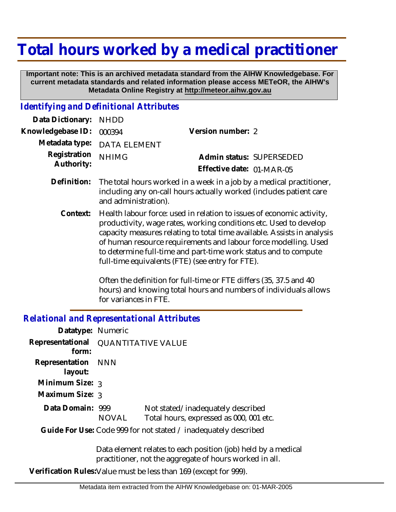# **Total hours worked by a medical practitioner**

 **Important note: This is an archived metadata standard from the AIHW Knowledgebase. For current metadata standards and related information please access METeOR, the AIHW's Metadata Online Registry at http://meteor.aihw.gov.au**

#### *Identifying and Definitional Attributes*

| Data Dictionary: NHDD            |                             |                           |  |
|----------------------------------|-----------------------------|---------------------------|--|
| Knowledgebase ID: 000394         |                             | Version number: 2         |  |
|                                  | Metadata type: DATA ELEMENT |                           |  |
| Registration NHIMG<br>Authority: |                             | Admin status: SUPERSEDED  |  |
|                                  |                             | Effective date: 01-MAR-05 |  |

- Definition: The total hours worked in a week in a job by a medical practitioner, including any on-call hours actually worked (includes patient care and administration).
	- Health labour force: used in relation to issues of economic activity, productivity, wage rates, working conditions etc. Used to develop capacity measures relating to total time available. Assists in analysis of human resource requirements and labour force modelling. Used to determine full-time and part-time work status and to compute full-time equivalents (FTE) (see entry for FTE). **Context:**

Often the definition for full-time or FTE differs (35, 37.5 and 40 hours) and knowing total hours and numbers of individuals allows for variances in FTE.

#### *Relational and Representational Attributes*

| Datatype: Numeric                                       |                                     |                                                                              |  |
|---------------------------------------------------------|-------------------------------------|------------------------------------------------------------------------------|--|
| form:                                                   | Representational QUANTITATIVE VALUE |                                                                              |  |
| Representation NNN<br>layout:                           |                                     |                                                                              |  |
| Minimum Size: 3                                         |                                     |                                                                              |  |
| Maximum Size: 3                                         |                                     |                                                                              |  |
| Data Domain: 999                                        | <b>NOVAL</b>                        | Not stated/inadequately described<br>Total hours, expressed as 000, 001 etc. |  |
|                                                         |                                     | Guide For Use: Code 999 for not stated / inadequately described              |  |
| Data element relates to each position (iob) held by a m |                                     |                                                                              |  |

Data element relates to each position (job) held by a medical practitioner, not the aggregate of hours worked in all.

**Verification Rules:**Value must be less than 169 (except for 999).